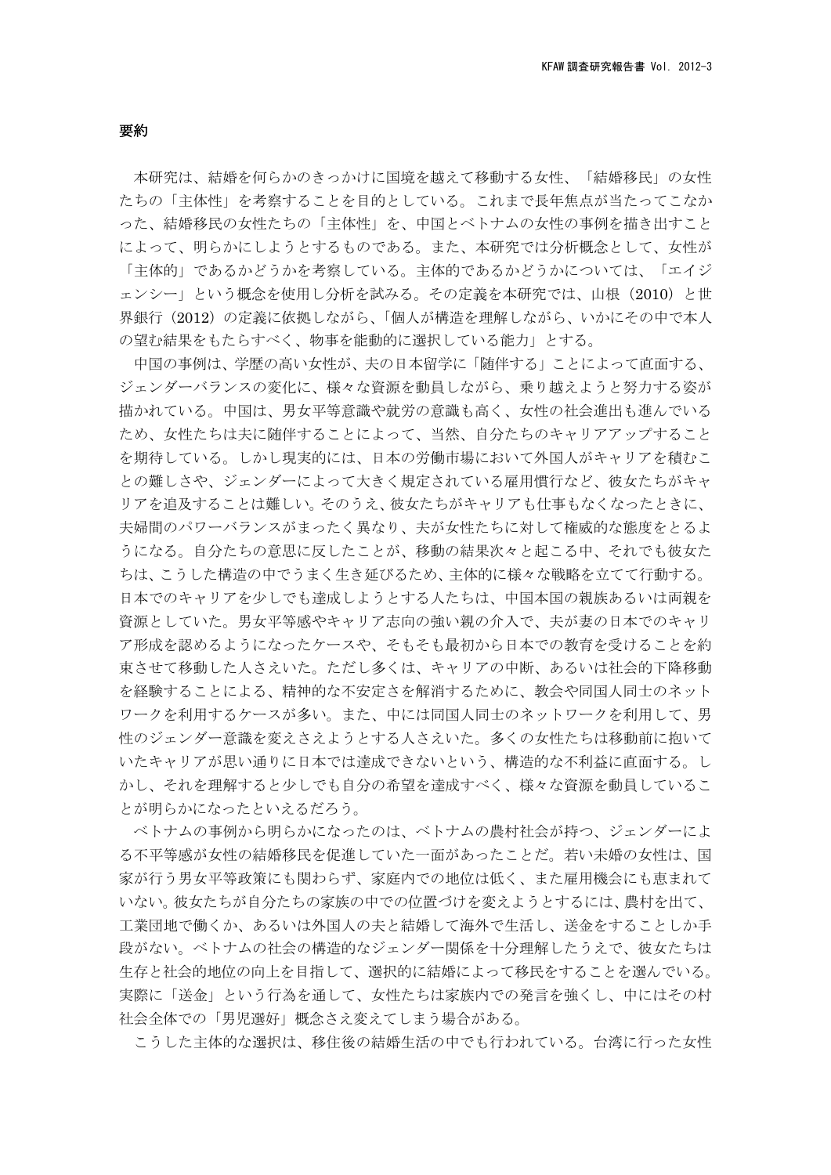## 要約

本研究は、結婚を何らかのきっかけに国境を越えて移動する女性、「結婚移民」の女性 たちの「主体性」を考察することを目的としている。これまで長年焦点が当たってこなか った、結婚移民の女性たちの「主体性」を、中国とベトナムの女性の事例を描き出すこと によって、明らかにしようとするものである。また、本研究では分析概念として、女性が 「主体的」であるかどうかを考察している。主体的であるかどうかについては、「エイジ ェンシー」という概念を使用し分析を試みる。その定義を本研究では、山根(2010)と世 界銀行(2012)の定義に依拠しながら、「個人が構造を理解しながら、いかにその中で本人 の望む結果をもたらすべく、物事を能動的に選択している能力」とする。

中国の事例は、学歴の高い女性が、夫の日本留学に「随伴する」ことによって直面する、 ジェンダーバランスの変化に、様々な資源を動員しながら、乗り越えようと努力する姿が 描かれている。中国は、男女平等意識や就労の意識も高く、女性の社会進出も進んでいる ため、女性たちは夫に随伴することによって、当然、自分たちのキャリアアップすること を期待している。しかし現実的には、日本の労働市場において外国人がキャリアを積むこ との難しさや、ジェンダーによって大きく規定されている雇用慣行など、彼女たちがキャ リアを追及することは難しい。そのうえ、彼女たちがキャリアも仕事もなくなったときに、 夫婦間のパワーバランスがまったく異なり、夫が女性たちに対して権威的な態度をとるよ うになる。自分たちの意思に反したことが、移動の結果次々と起こる中、それでも彼女た ちは、こうした構造の中でうまく生き延びるため、主体的に様々な戦略を立てて行動する。 日本でのキャリアを少しでも達成しようとする人たちは、中国本国の親族あるいは両親を 資源としていた。男女平等感やキャリア志向の強い親の介入で、夫が妻の日本でのキャリ ア形成を認めるようになったケースや、そもそも最初から日本での教育を受けることを約 束させて移動した人さえいた。ただし多くは、キャリアの中断、あるいは社会的下降移動 を経験することによる、精神的な不安定さを解消するために、教会や同国人同士のネット ワークを利用するケースが多い。また、中には同国人同士のネットワークを利用して、男 性のジェンダー意識を変えさえようとする人さえいた。多くの女性たちは移動前に抱いて いたキャリアが思い通りに日本では達成できないという、構造的な不利益に直面する。し かし、それを理解すると少しでも自分の希望を達成すべく、様々な資源を動員しているこ とが明らかになったといえるだろう。

ベトナムの事例から明らかになったのは、ベトナムの農村社会が持つ、ジェンダーによ る不平等感が女性の結婚移民を促進していた一面があったことだ。若い未婚の女性は、国 家が行う男女平等政策にも関わらず、家庭内での地位は低く、また雇用機会にも恵まれて いない。彼女たちが自分たちの家族の中での位置づけを変えようとするには、農村を出て、 工業団地で働くか、あるいは外国人の夫と結婚して海外で生活し、送金をすることしか手 段がない。ベトナムの社会の構造的なジェンダー関係を十分理解したうえで、彼女たちは 生存と社会的地位の向上を目指して、選択的に結婚によって移民をすることを選んでいる。 実際に「送金」という行為を通して、女性たちは家族内での発言を強くし、中にはその村 社会全体での「男児選好」概念さえ変えてしまう場合がある。

こうした主体的な選択は、移住後の結婚生活の中でも行われている。台湾に行った女性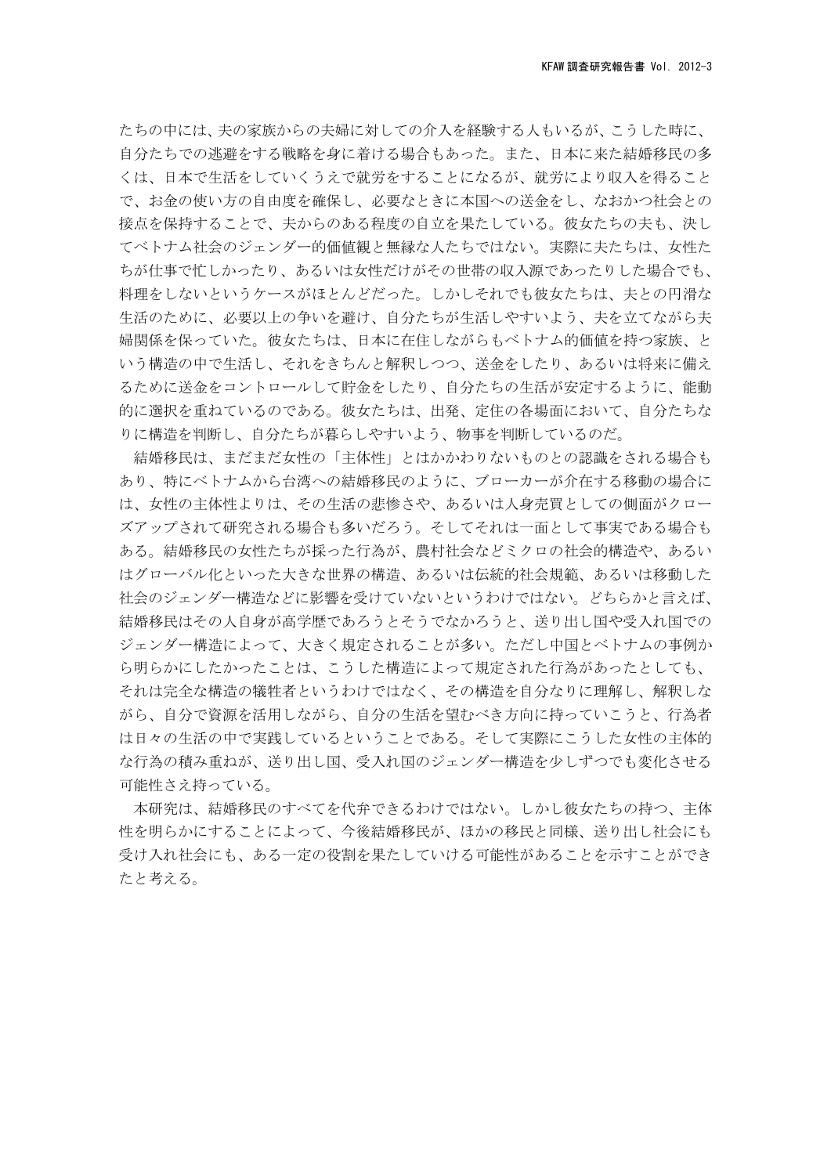たちの中には、夫の家族からの夫婦に対しての介入を経験する人もいるが、こうした時に、 自分たちでの逃避をする戦略を身に着ける場合もあった。また、日本に来た結婚移民の多 くは、日本で生活をしていくうえで就労をすることになるが、就労により収入を得ること で、お金の使い方の自由度を確保し、必要なときに本国への送金をし、なおかつ社会との 接点を保持することで、夫からのある程度の自立を果たしている。彼女たちの夫も、決し てベトナム社会のジェンダー的価値観と無縁な人たちではない。実際に夫たちは、女性た ちが仕事で忙しかったり、あるいは女性だけがその世帯の収入源であったりした場合でも、 料理をしないというケースがほとんどだった。しかしそれでも彼女たちは、夫との円滑な 生活のために、必要以上の争いを避け、自分たちが生活しやすいよう、夫を立てながら夫 婦関係を保っていた。彼女たちは、日本に在住しながらもベトナム的価値を持つ家族、と いう構造の中で生活し、それをきちんと解釈しつつ、送金をしたり、あるいは将来に備え るために送金をコントロールして貯金をしたり、自分たちの生活が安定するように、能動 的に選択を重ねているのである。彼女たちは、出発、定住の各場面において、自分たちな りに構造を判断し、自分たちが暮らしやすいよう、物事を判断しているのだ。

結婚移民は、まだまだ女性の「主体性」とはかかわりないものとの認識をされる場合も あり、特にベトナムから台湾への結婚移民のように、ブローカーが介在する移動の場合に は、女性の主体性よりは、その生活の悲惨さや、あるいは人身売買としての側面がクロー ズアップされて研究される場合も多いだろう。そしてそれは一面として事実である場合も ある。結婚移民の女性たちが採った行為が、農村社会などミクロの社会的構造や、あるい はグローバル化といった大きな世界の構造、あるいは伝統的社会規範、あるいは移動した 社会のジェンダー構造などに影響を受けていないというわけではない。どちらかと言えば、 結婚移民はその人自身が高学歴であろうとそうでなかろうと、送り出し国や受入れ国での ジェンダー構造によって、大きく規定されることが多い。ただし中国とベトナムの事例か ら明らかにしたかったことは、こうした構造によって規定された行為があったとしても、 それは完全な構造の犠牲者というわけではなく、その構造を自分なりに理解し、解釈しな がら、自分で資源を活用しながら、自分の生活を望むべき方向に持っていこうと、行為者 は日々の生活の中で実践しているということである。そして実際にこうした女性の主体的 な行為の積み重ねが、送り出し国、受入れ国のジェンダー構造を少しずつでも変化させる 可能性さえ持っている。

本研究は、結婚移民のすべてを代弁できるわけではない。しかし彼女たちの持つ、主体 性を明らかにすることによって、今後結婚移民が、ほかの移民と同様、送り出し社会にも 受け入れ社会にも、ある一定の役割を果たしていける可能性があることを示すことができ たと考える。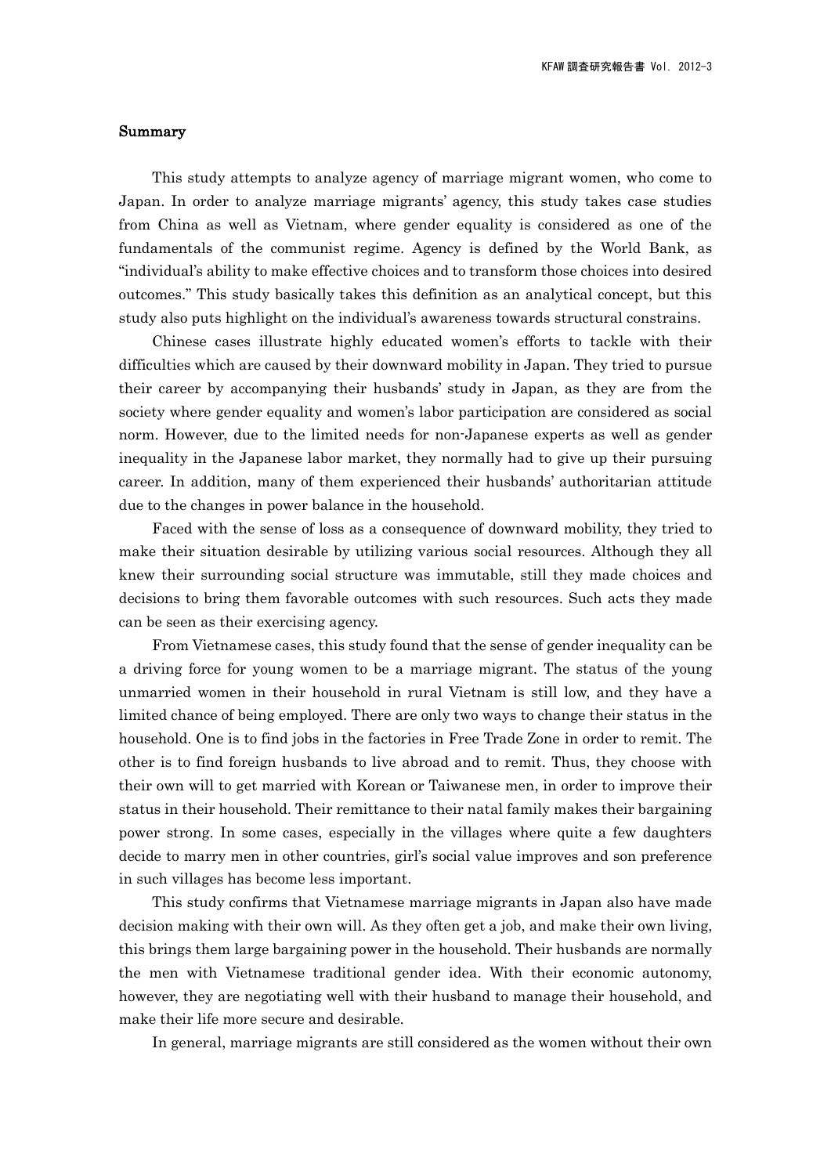## Summary

This study attempts to analyze agency of marriage migrant women, who come to Japan. In order to analyze marriage migrants' agency, this study takes case studies from China as well as Vietnam, where gender equality is considered as one of the fundamentals of the communist regime. Agency is defined by the World Bank, as "individual's ability to make effective choices and to transform those choices into desired outcomes." This study basically takes this definition as an analytical concept, but this study also puts highlight on the individual's awareness towards structural constrains.

Chinese cases illustrate highly educated women's efforts to tackle with their difficulties which are caused by their downward mobility in Japan. They tried to pursue their career by accompanying their husbands' study in Japan, as they are from the society where gender equality and women's labor participation are considered as social norm. However, due to the limited needs for non-Japanese experts as well as gender inequality in the Japanese labor market, they normally had to give up their pursuing career. In addition, many of them experienced their husbands' authoritarian attitude due to the changes in power balance in the household.

Faced with the sense of loss as a consequence of downward mobility, they tried to make their situation desirable by utilizing various social resources. Although they all knew their surrounding social structure was immutable, still they made choices and decisions to bring them favorable outcomes with such resources. Such acts they made can be seen as their exercising agency.

From Vietnamese cases, this study found that the sense of gender inequality can be a driving force for young women to be a marriage migrant. The status of the young unmarried women in their household in rural Vietnam is still low, and they have a limited chance of being employed. There are only two ways to change their status in the household. One is to find jobs in the factories in Free Trade Zone in order to remit. The other is to find foreign husbands to live abroad and to remit. Thus, they choose with their own will to get married with Korean or Taiwanese men, in order to improve their status in their household. Their remittance to their natal family makes their bargaining power strong. In some cases, especially in the villages where quite a few daughters decide to marry men in other countries, girl's social value improves and son preference in such villages has become less important.

This study confirms that Vietnamese marriage migrants in Japan also have made decision making with their own will. As they often get a job, and make their own living, this brings them large bargaining power in the household. Their husbands are normally the men with Vietnamese traditional gender idea. With their economic autonomy, however, they are negotiating well with their husband to manage their household, and make their life more secure and desirable.

In general, marriage migrants are still considered as the women without their own